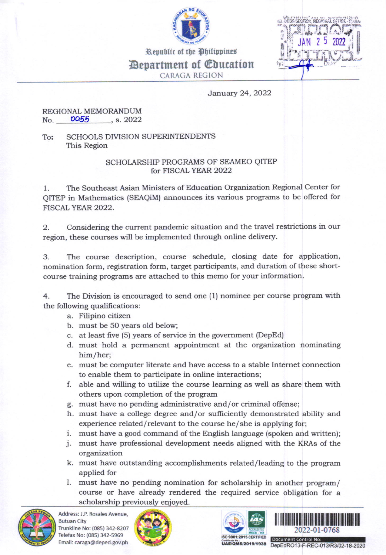



Republic of the Philippines **Department of Education** 

CARAGA RECION

January 24,2022

## REGIONAL MEMORANDUM<br>No. 0055 s. 2022 No.  $0.055$ , s. 2022

To: SCHOOLS DIVISION SUPERINTENDENTS This Region

## SCHOLARSHIP PROGRAMS OF SEAMEO QITEP for FISCAL YEAR 2O22

l. The Southeast Asian Ministers of Education Organization Regional Center for QITEP in Mathematics (SEAQiM) announces its various programs to be offered for FISCALYEAR 2022.

2. Considering the current pandemic situation and the travel restrictions in our region, these courses will be implemented through online delivery.

3. The course description, course schedule, closing date for application, nomination form, registration form, target participants, and duration of these shortcourse training programs are attached to this memo for your information.

4. The Division is encouraged to send one (1) nominee per course program with the following qualifications:

- a. Pilipino citizen
- b. must be 5O years old below;
- c. at least five (5) years of service in the government (DepEd)
- d. must hold a permanent appointment at the organization nominating him/her;
- e. must be computer literate and have access to a stable Internet connection to enable them to participate in online interactions;
- f. able and willing to utilize the course learning as well as share them with others upon completion of the program
- g. must have no pending administrative and/or criminal offense;
- h. must have a college degree and/or sufficiently demonstrated ability and experience related/relevant to the course he/she is applying for;
- i. must have a good command of the English language (spoken and written);
- j. must have professional development needs aligned with the KRAs of the organization
- k. must have outstanding accomplishments related/leading to the program applied for
- l. must have no pending nomination for scholarship in another program/ course or have already rendered the required service obligation for a scholarship previously enjoyed.



Address: J.P. Rosales Avenue, Butuan City Trunkline No: (085) 342-8207 Telefax No: (085) 342-5969 Email: caraga@deped.gov.ph







ISO 9001:2015 CERTIFIED<br>Certificate No.:<br>**UAE/QMS/2019/1938** DenFdRO13-F-RFC-0 DepEdRO13-F-REC-013/R3/02-18-2020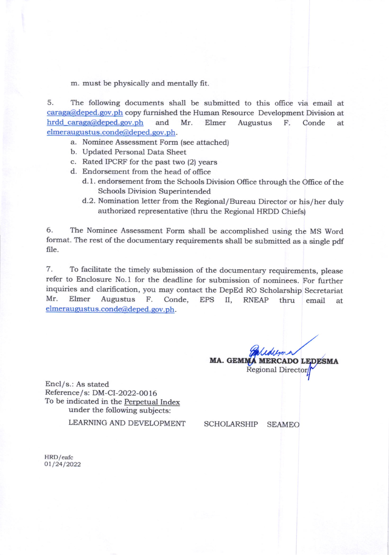m. must be physically and mentally frt.

5. The following documents shall be submitted to this oflice via email at caraga@deped.gov.ph copy furnished the Human Resource Development Division at hrdd caraga@deped.gov.ph and Mr. Elmer Augustus F. Conde at elmeraugustus.conde@deped.gov.ph.

- a. Nominee Assessment Form (see attached)
- b. Updated Personal Data Sheet
- c. Rated IPCRF for the past two (2) years
- d. Endorsement from the head of office
	- d. 1. endorsement from the Schools Division Office through the Office of the Schools Division Superintended
	- d.2. Nomination letter from the Regional/Bureau Director or his/her duly authorized representative (thru the Regional HRDD Chiefs)

6. The Nominee Assessment Form shall be accomplished using the MS Word format. The rest of the documentary requirements shall be submitted as a single pdf file.

7. To facilitate the timely submission of the documentary requirements, please refer to Enclosure No. 1 for the deadline for submission of nominees. For further inquiries and clarifrcation, you may contact the DepBd Ro Scholarship secretariat Mr. Elmer Augustus F. Conde, EpS II, RNEAP thru email at elmeraugustus.conde@deped.gov.ph.

> MA. GEMMA MERCADO LEDESMA Regional

Encl/s.: As stated Reference/s: DM-CI-2022-0016 To be indicated in the Perpetual Index under the following subjects:

LEARNING AND DEVELOPMENT

SCHOLARSHIP SEAMEO

HRD/eafc 01/24/2022